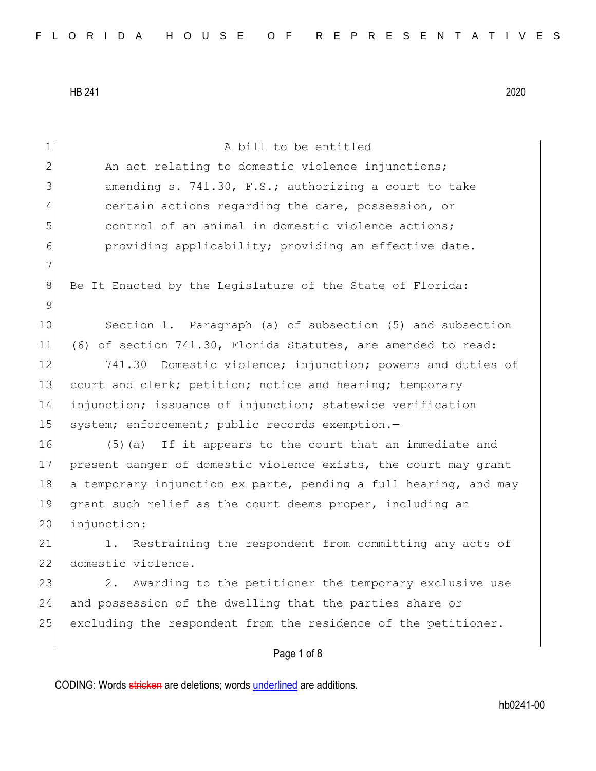| $\mathbf 1$   | A bill to be entitled                                            |
|---------------|------------------------------------------------------------------|
| 2             | An act relating to domestic violence injunctions;                |
| 3             | amending s. 741.30, F.S.; authorizing a court to take            |
| 4             | certain actions regarding the care, possession, or               |
| 5             | control of an animal in domestic violence actions;               |
| 6             | providing applicability; providing an effective date.            |
| 7             |                                                                  |
| 8             | Be It Enacted by the Legislature of the State of Florida:        |
| $\mathcal{G}$ |                                                                  |
| 10            | Section 1. Paragraph (a) of subsection (5) and subsection        |
| 11            | (6) of section 741.30, Florida Statutes, are amended to read:    |
| 12            | 741.30<br>Domestic violence; injunction; powers and duties of    |
| 13            | court and clerk; petition; notice and hearing; temporary         |
| 14            | injunction; issuance of injunction; statewide verification       |
| 15            | system; enforcement; public records exemption.-                  |
| 16            | (5) (a) If it appears to the court that an immediate and         |
| 17            | present danger of domestic violence exists, the court may grant  |
| 18            | a temporary injunction ex parte, pending a full hearing, and may |
| 19            | grant such relief as the court deems proper, including an        |
| 20            | injunction:                                                      |
| 21            | 1. Restraining the respondent from committing any acts of        |
| 22            | domestic violence.                                               |
| 23            | Awarding to the petitioner the temporary exclusive use<br>2.     |
| 24            | and possession of the dwelling that the parties share or         |
| 25            | excluding the respondent from the residence of the petitioner.   |
|               | Page 1 of 8                                                      |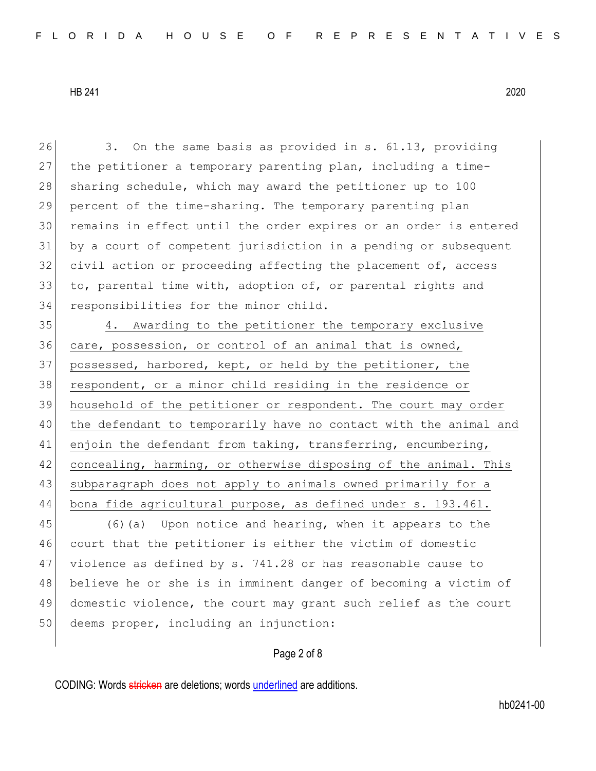26 3. On the same basis as provided in s. 61.13, providing 27 the petitioner a temporary parenting plan, including a time-28 sharing schedule, which may award the petitioner up to 100 29 percent of the time-sharing. The temporary parenting plan 30 remains in effect until the order expires or an order is entered 31 by a court of competent jurisdiction in a pending or subsequent 32 civil action or proceeding affecting the placement of, access 33 to, parental time with, adoption of, or parental rights and 34 responsibilities for the minor child.

35 4. Awarding to the petitioner the temporary exclusive 36 care, possession, or control of an animal that is owned, 37 possessed, harbored, kept, or held by the petitioner, the 38 respondent, or a minor child residing in the residence or 39 household of the petitioner or respondent. The court may order 40 the defendant to temporarily have no contact with the animal and 41 enjoin the defendant from taking, transferring, encumbering, 42 concealing, harming, or otherwise disposing of the animal. This 43 subparagraph does not apply to animals owned primarily for a 44 bona fide agricultural purpose, as defined under s. 193.461.

 (6)(a) Upon notice and hearing, when it appears to the court that the petitioner is either the victim of domestic 47 violence as defined by s. 741.28 or has reasonable cause to believe he or she is in imminent danger of becoming a victim of domestic violence, the court may grant such relief as the court 50 deems proper, including an injunction:

## Page 2 of 8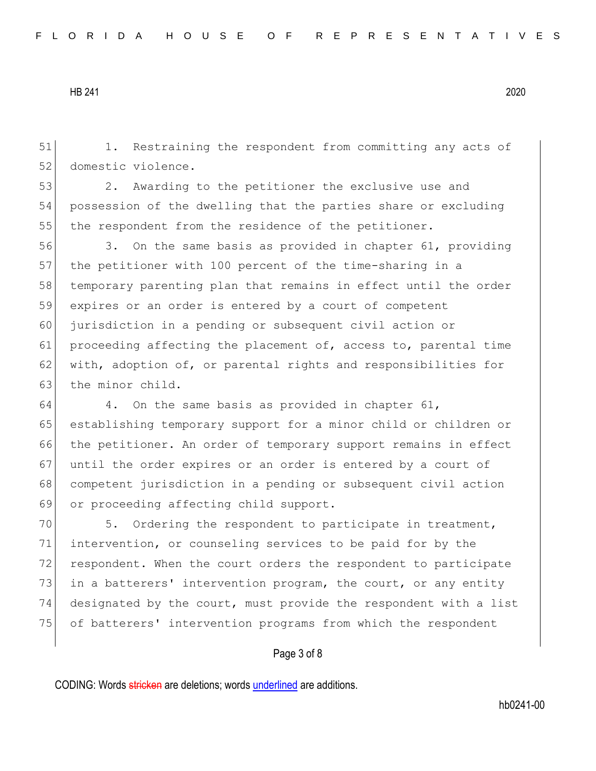51 1. Restraining the respondent from committing any acts of 52 domestic violence.

53 2. Awarding to the petitioner the exclusive use and 54 possession of the dwelling that the parties share or excluding 55 the respondent from the residence of the petitioner.

56 3. On the same basis as provided in chapter 61, providing 57 the petitioner with 100 percent of the time-sharing in a 58 temporary parenting plan that remains in effect until the order 59 expires or an order is entered by a court of competent 60 jurisdiction in a pending or subsequent civil action or 61 proceeding affecting the placement of, access to, parental time 62 with, adoption of, or parental rights and responsibilities for 63 the minor child.

 4. On the same basis as provided in chapter 61, establishing temporary support for a minor child or children or 66 the petitioner. An order of temporary support remains in effect until the order expires or an order is entered by a court of competent jurisdiction in a pending or subsequent civil action or proceeding affecting child support.

70 5. Ordering the respondent to participate in treatment, 71 intervention, or counseling services to be paid for by the 72 respondent. When the court orders the respondent to participate 73 in a batterers' intervention program, the court, or any entity 74 designated by the court, must provide the respondent with a list 75 of batterers' intervention programs from which the respondent

#### Page 3 of 8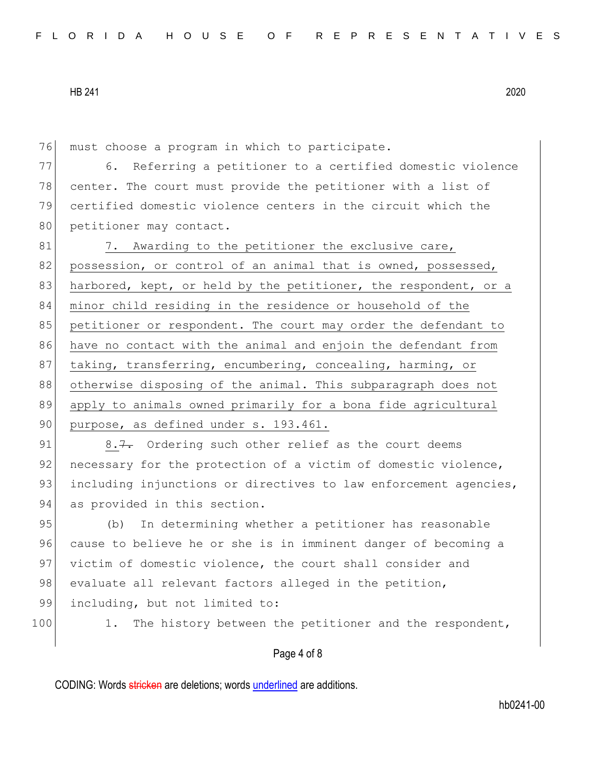76 must choose a program in which to participate.

77 6. Referring a petitioner to a certified domestic violence 78 center. The court must provide the petitioner with a list of 79 certified domestic violence centers in the circuit which the 80 petitioner may contact.

81 7. Awarding to the petitioner the exclusive care, 82 possession, or control of an animal that is owned, possessed, 83 harbored, kept, or held by the petitioner, the respondent, or a 84 minor child residing in the residence or household of the 85 petitioner or respondent. The court may order the defendant to 86 have no contact with the animal and enjoin the defendant from 87 taking, transferring, encumbering, concealing, harming, or 88 otherwise disposing of the animal. This subparagraph does not 89 apply to animals owned primarily for a bona fide agricultural 90 purpose, as defined under s. 193.461.

 $91$  8.7. Ordering such other relief as the court deems 92 necessary for the protection of a victim of domestic violence, 93 including injunctions or directives to law enforcement agencies, 94 as provided in this section.

95 (b) In determining whether a petitioner has reasonable 96 cause to believe he or she is in imminent danger of becoming a 97 victim of domestic violence, the court shall consider and 98 evaluate all relevant factors alleged in the petition, 99 including, but not limited to:

100 1. The history between the petitioner and the respondent,

## Page 4 of 8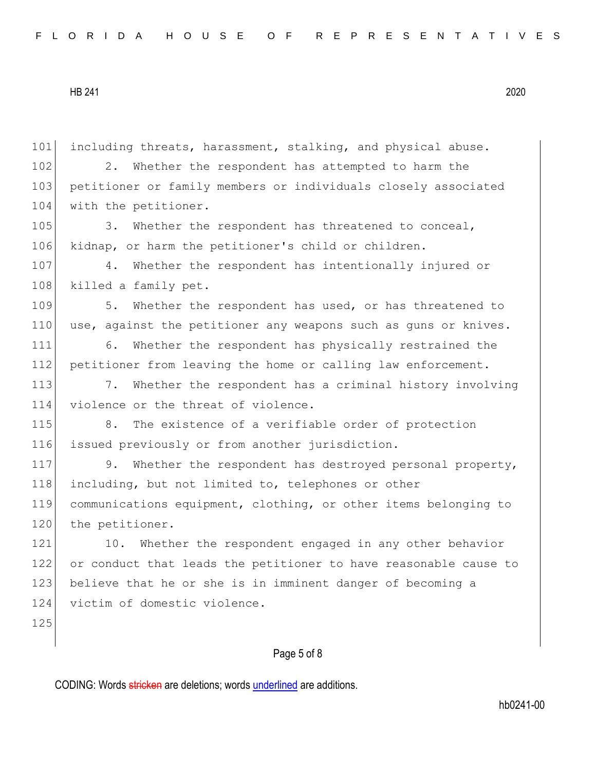101 including threats, harassment, stalking, and physical abuse. 102 2. Whether the respondent has attempted to harm the 103 petitioner or family members or individuals closely associated 104 with the petitioner. 105 3. Whether the respondent has threatened to conceal, 106 kidnap, or harm the petitioner's child or children. 107 4. Whether the respondent has intentionally injured or 108 killed a family pet. 109 5. Whether the respondent has used, or has threatened to 110 use, against the petitioner any weapons such as guns or knives. 111 6. Whether the respondent has physically restrained the 112 petitioner from leaving the home or calling law enforcement. 113 7. Whether the respondent has a criminal history involving 114 violence or the threat of violence. 115 8. The existence of a verifiable order of protection 116 issued previously or from another jurisdiction. 117 9. Whether the respondent has destroyed personal property, 118 including, but not limited to, telephones or other 119 communications equipment, clothing, or other items belonging to 120 the petitioner. 121 10. Whether the respondent engaged in any other behavior 122 or conduct that leads the petitioner to have reasonable cause to 123 believe that he or she is in imminent danger of becoming a 124 victim of domestic violence. 125

# Page 5 of 8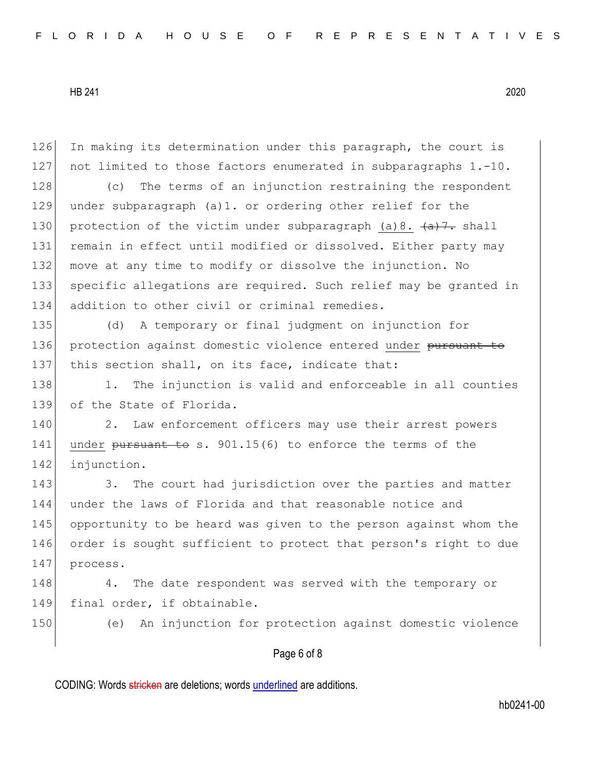Page 6 of 8 126 In making its determination under this paragraph, the court is 127 not limited to those factors enumerated in subparagraphs 1.-10. 128 (c) The terms of an injunction restraining the respondent 129 under subparagraph (a)1. or ordering other relief for the 130 protection of the victim under subparagraph (a)8.  $\left\{\alpha\right\}$ . shall 131 remain in effect until modified or dissolved. Either party may 132 move at any time to modify or dissolve the injunction. No 133 specific allegations are required. Such relief may be granted in 134 addition to other civil or criminal remedies. 135 (d) A temporary or final judgment on injunction for 136 protection against domestic violence entered under pursuant to 137 this section shall, on its face, indicate that: 138 1. The injunction is valid and enforceable in all counties 139 of the State of Florida. 140 2. Law enforcement officers may use their arrest powers 141 under pursuant to s. 901.15(6) to enforce the terms of the 142 injunction. 143 3. The court had jurisdiction over the parties and matter 144 under the laws of Florida and that reasonable notice and 145 opportunity to be heard was given to the person against whom the 146 order is sought sufficient to protect that person's right to due 147 process. 148 4. The date respondent was served with the temporary or 149 final order, if obtainable. 150 (e) An injunction for protection against domestic violence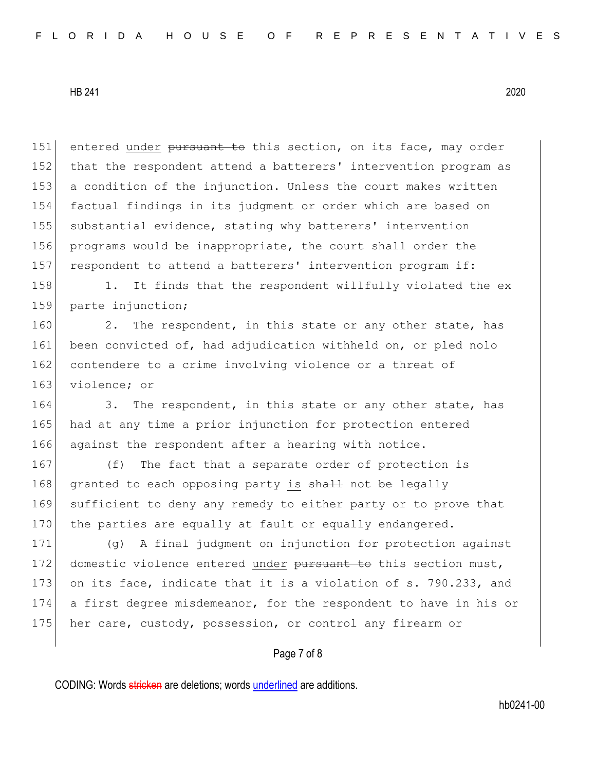151 entered under pursuant to this section, on its face, may order 152 that the respondent attend a batterers' intervention program as 153 a condition of the injunction. Unless the court makes written 154 factual findings in its judgment or order which are based on 155 substantial evidence, stating why batterers' intervention 156 programs would be inappropriate, the court shall order the 157 respondent to attend a batterers' intervention program if:

158 1. It finds that the respondent willfully violated the ex 159 parte injunction;

160 2. The respondent, in this state or any other state, has 161 been convicted of, had adjudication withheld on, or pled nolo 162 contendere to a crime involving violence or a threat of 163 violence; or

164 3. The respondent, in this state or any other state, has 165 had at any time a prior injunction for protection entered 166 against the respondent after a hearing with notice.

167 (f) The fact that a separate order of protection is 168 granted to each opposing party is shall not be legally 169 sufficient to deny any remedy to either party or to prove that 170 the parties are equally at fault or equally endangered.

171 (g) A final judgment on injunction for protection against 172 domestic violence entered under pursuant to this section must, 173 on its face, indicate that it is a violation of s. 790.233, and 174 a first degree misdemeanor, for the respondent to have in his or 175 her care, custody, possession, or control any firearm or

## Page 7 of 8